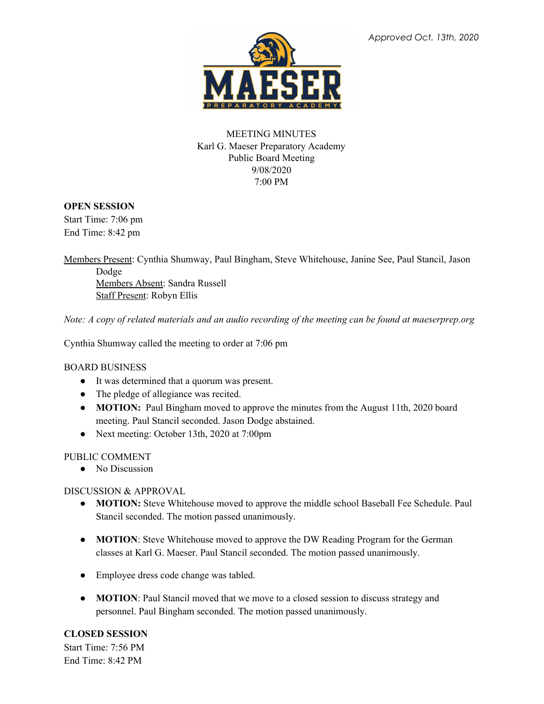

## MEETING MINUTES Karl G. Maeser Preparatory Academy Public Board Meeting 9/08/2020 7:00 PM

## **OPEN SESSION**

Start Time: 7:06 pm End Time: 8:42 pm

Members Present: Cynthia Shumway, Paul Bingham, Steve Whitehouse, Janine See, Paul Stancil, Jason Dodge Members Absent: Sandra Russell Staff Present: Robyn Ellis

Note: A copy of related materials and an audio recording of the meeting can be found at maeserprep.org

Cynthia Shumway called the meeting to order at 7:06 pm

## BOARD BUSINESS

- It was determined that a quorum was present.
- The pledge of allegiance was recited.
- **MOTION:** Paul Bingham moved to approve the minutes from the August 11th, 2020 board meeting. Paul Stancil seconded. Jason Dodge abstained.
- Next meeting: October 13th, 2020 at 7:00pm

## PUBLIC COMMENT

• No Discussion

## DISCUSSION & APPROVAL

- **MOTION:** Steve Whitehouse moved to approve the middle school Baseball Fee Schedule. Paul Stancil seconded. The motion passed unanimously.
- **MOTION**: Steve Whitehouse moved to approve the DW Reading Program for the German classes at Karl G. Maeser. Paul Stancil seconded. The motion passed unanimously.
- **●** Employee dress code change was tabled.
- **MOTION**: Paul Stancil moved that we move to a closed session to discuss strategy and personnel. Paul Bingham seconded. The motion passed unanimously.

## **CLOSED SESSION**

Start Time: 7:56 PM End Time: 8:42 PM